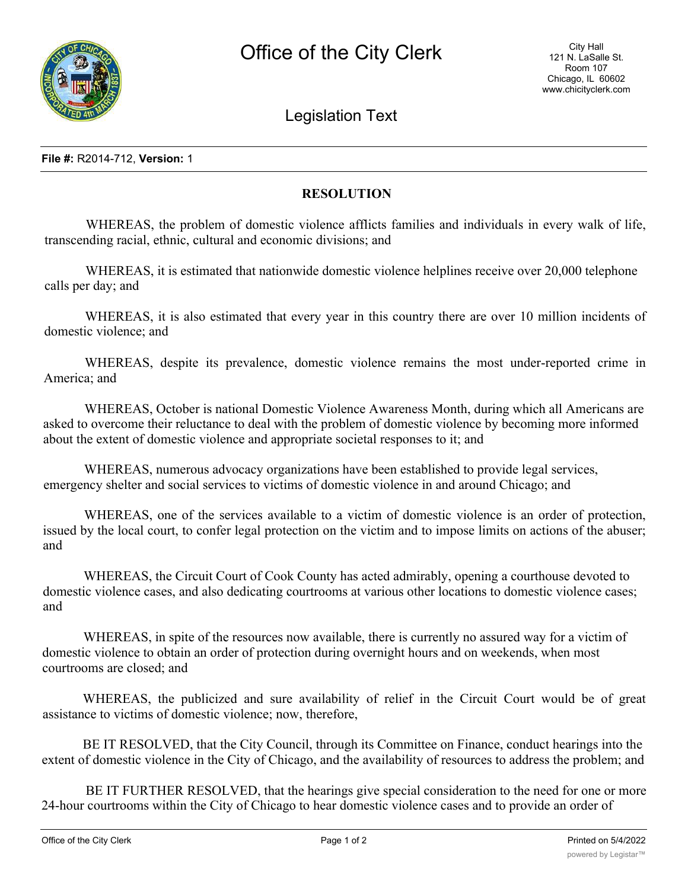

Legislation Text

## **File #:** R2014-712, **Version:** 1

## **RESOLUTION**

WHEREAS, the problem of domestic violence afflicts families and individuals in every walk of life, transcending racial, ethnic, cultural and economic divisions; and

WHEREAS, it is estimated that nationwide domestic violence helplines receive over 20,000 telephone calls per day; and

WHEREAS, it is also estimated that every year in this country there are over 10 million incidents of domestic violence; and

WHEREAS, despite its prevalence, domestic violence remains the most under-reported crime in America; and

WHEREAS, October is national Domestic Violence Awareness Month, during which all Americans are asked to overcome their reluctance to deal with the problem of domestic violence by becoming more informed about the extent of domestic violence and appropriate societal responses to it; and

WHEREAS, numerous advocacy organizations have been established to provide legal services, emergency shelter and social services to victims of domestic violence in and around Chicago; and

WHEREAS, one of the services available to a victim of domestic violence is an order of protection, issued by the local court, to confer legal protection on the victim and to impose limits on actions of the abuser; and

WHEREAS, the Circuit Court of Cook County has acted admirably, opening a courthouse devoted to domestic violence cases, and also dedicating courtrooms at various other locations to domestic violence cases; and

WHEREAS, in spite of the resources now available, there is currently no assured way for a victim of domestic violence to obtain an order of protection during overnight hours and on weekends, when most courtrooms are closed; and

WHEREAS, the publicized and sure availability of relief in the Circuit Court would be of great assistance to victims of domestic violence; now, therefore,

BE IT RESOLVED, that the City Council, through its Committee on Finance, conduct hearings into the extent of domestic violence in the City of Chicago, and the availability of resources to address the problem; and

BE IT FURTHER RESOLVED, that the hearings give special consideration to the need for one or more 24-hour courtrooms within the City of Chicago to hear domestic violence cases and to provide an order of